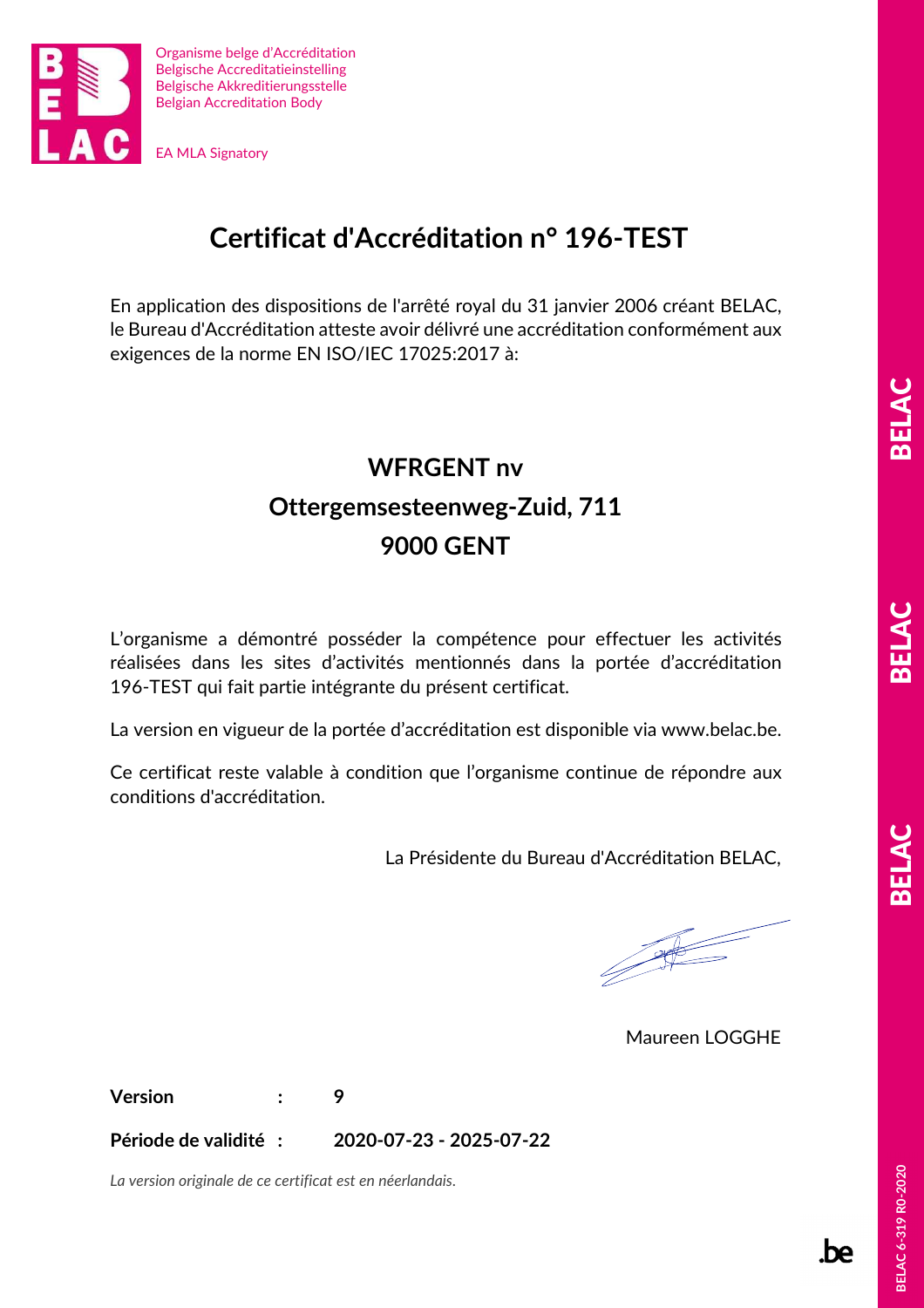

#### **Certificat d'Accréditation n° 196-TEST**

En application des dispositions de l'arrêté royal du 31 janvier 2006 créant BELAC, le Bureau d'Accréditation atteste avoir délivré une accréditation conformément aux exigences de la norme EN ISO/IEC 17025:2017 à:

## **WFRGENT nv Ottergemsesteenweg-Zuid, 711 9000 GENT**

L'organisme a démontré posséder la compétence pour effectuer les activités réalisées dans les sites d'activités mentionnés dans la portée d'accréditation 196-TEST qui fait partie intégrante du présent certificat.

La version en vigueur de la portée d'accréditation est disponible via www.belac.be.

Ce certificat reste valable à condition que l'organisme continue de répondre aux conditions d'accréditation.

La Présidente du Bureau d'Accréditation BELAC,

Maureen LOGGHE

**Version : 9** 

**Période de validité : 2020-07-23 - 2025-07-22** 

*La version originale de ce certificat est en néerlandais.* 

m.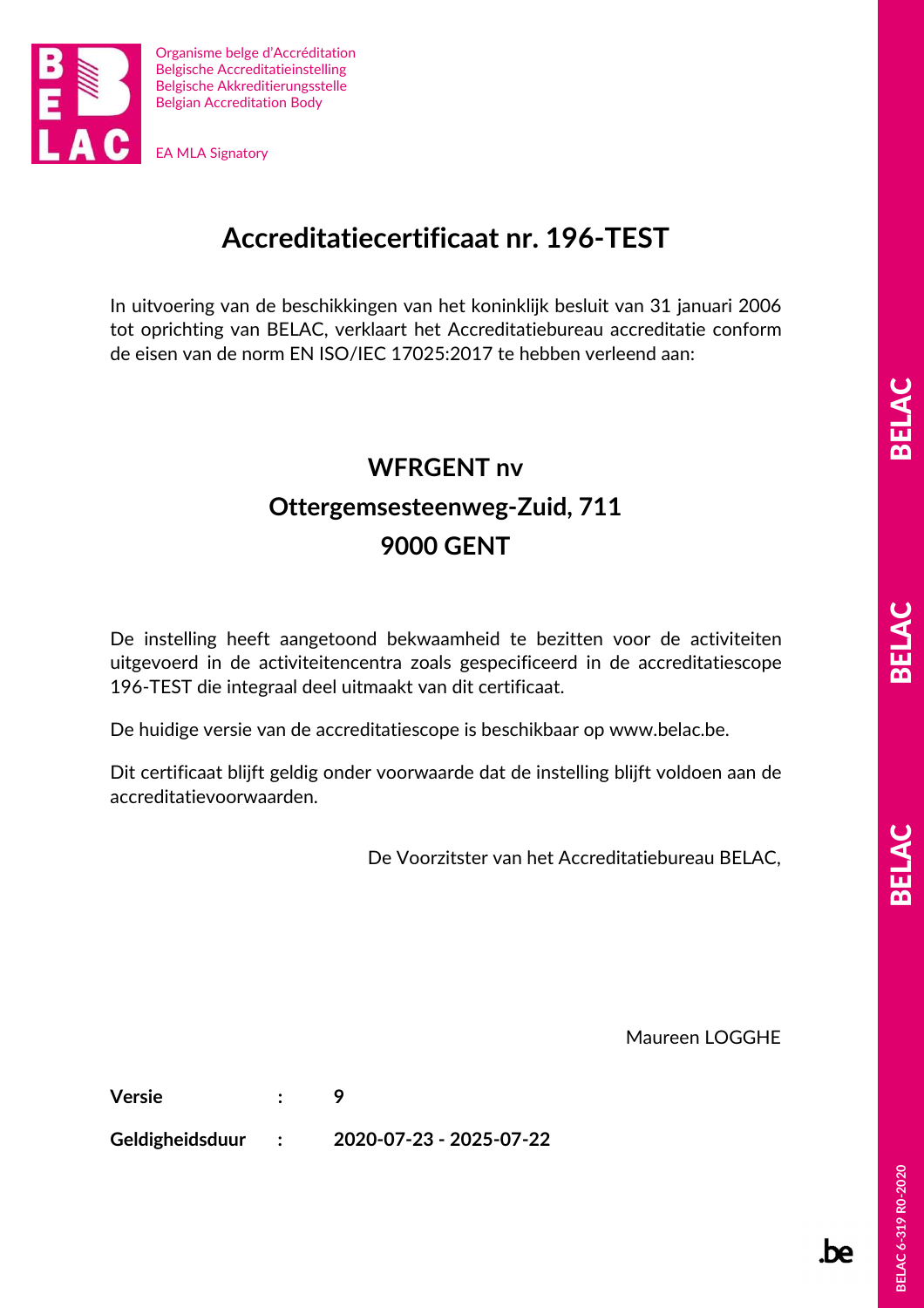

### **Accreditatiecertificaat nr. 196-TEST**

In uitvoering van de beschikkingen van het koninklijk besluit van 31 januari 2006 tot oprichting van BELAC, verklaart het Accreditatiebureau accreditatie conform de eisen van de norm EN ISO/IEC 17025:2017 te hebben verleend aan:

# **WFRGENT nv Ottergemsesteenweg-Zuid, 711 9000 GENT**

De instelling heeft aangetoond bekwaamheid te bezitten voor de activiteiten uitgevoerd in de activiteitencentra zoals gespecificeerd in de accreditatiescope 196-TEST die integraal deel uitmaakt van dit certificaat.

De huidige versie van de accreditatiescope is beschikbaar op www.belac.be.

Dit certificaat blijft geldig onder voorwaarde dat de instelling blijft voldoen aan de accreditatievoorwaarden.

De Voorzitster van het Accreditatiebureau BELAC,

Maureen LOGGHE

**Versie : 9** 

**Geldigheidsduur : 2020-07-23 - 2025-07-22** 

.be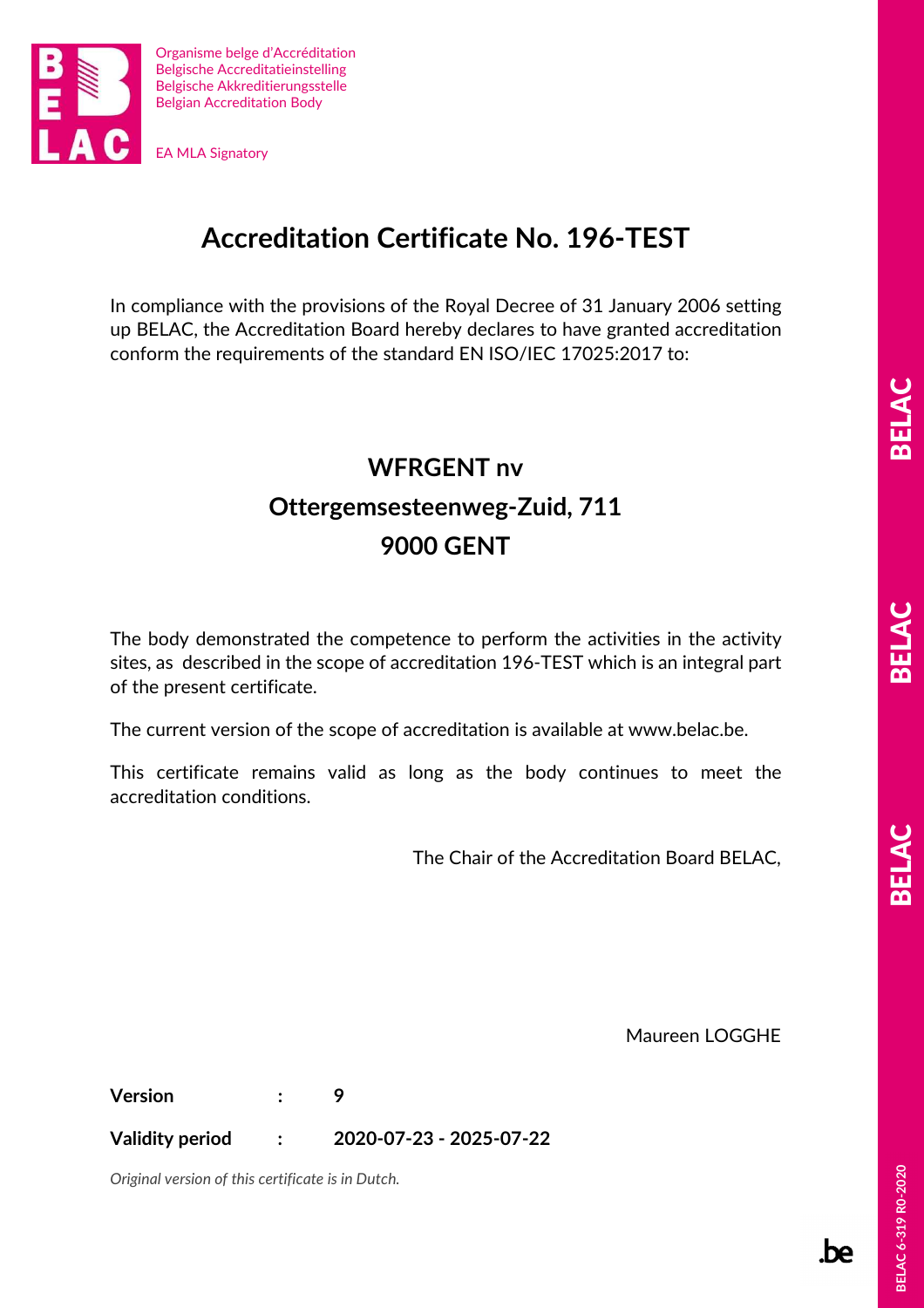

### **Accreditation Certificate No. 196-TEST**

In compliance with the provisions of the Royal Decree of 31 January 2006 setting up BELAC, the Accreditation Board hereby declares to have granted accreditation conform the requirements of the standard EN ISO/IEC 17025:2017 to:

# **WFRGENT nv Ottergemsesteenweg-Zuid, 711 9000 GENT**

The body demonstrated the competence to perform the activities in the activity sites, as described in the scope of accreditation 196-TEST which is an integral part of the present certificate.

The current version of the scope of accreditation is available at www.belac.be.

This certificate remains valid as long as the body continues to meet the accreditation conditions.

The Chair of the Accreditation Board BELAC,

Maureen LOGGHE

**Version : 9** 

**Validity period : 2020-07-23 - 2025-07-22** 

*Original version of this certificate is in Dutch.* 

.be